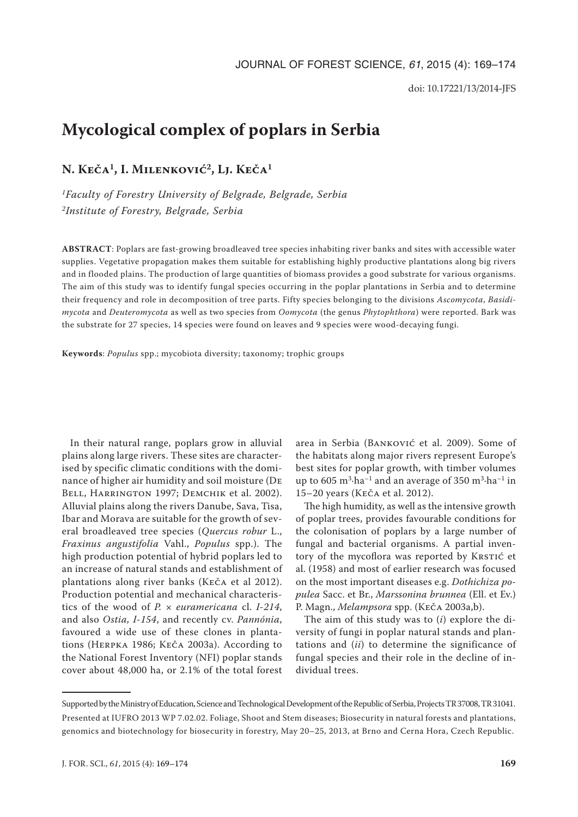# **Mycological complex of poplars in Serbia**

**N. Keča1, I. Milenković2, Lj. Keča1**

*1Faculty of Forestry University of Belgrade, Belgrade, Serbia 2Institute of Forestry, Belgrade, Serbia*

**ABSTRACT**: Poplars are fast-growing broadleaved tree species inhabiting river banks and sites with accessible water supplies. Vegetative propagation makes them suitable for establishing highly productive plantations along big rivers and in flooded plains. The production of large quantities of biomass provides a good substrate for various organisms. The aim of this study was to identify fungal species occurring in the poplar plantations in Serbia and to determine their frequency and role in decomposition of tree parts. Fifty species belonging to the divisions *Ascomycota*, *Basidimycota* and *Deuteromycota* as well as two species from *Oomycota* (the genus *Phytophthora*) were reported. Bark was the substrate for 27 species, 14 species were found on leaves and 9 species were wood-decaying fungi.

**Keywords**: *Populus* spp.; mycobiota diversity; taxonomy; trophic groups

In their natural range, poplars grow in alluvial plains along large rivers. These sites are characterised by specific climatic conditions with the dominance of higher air humidity and soil moisture (De BELL, HARRINGTON 1997; DEMCHIK et al. 2002). Alluvial plains along the rivers Danube, Sava, Tisa, Ibar and Morava are suitable for the growth of several broadleaved tree species (*Quercus robur* L., *Fraxinus angustifolia* Vahl., *Populus* spp.). The high production potential of hybrid poplars led to an increase of natural stands and establishment of plantations along river banks (Keča et al 2012). Production potential and mechanical characteristics of the wood of *P.* × *euramericana* cl. *I-214*, and also *Ostia, I-154*, and recently cv. *Pannónia*, favoured a wide use of these clones in plantations (Herpka 1986; Keča 2003a). According to the National Forest Inventory (NFI) poplar stands cover about 48,000 ha, or 2.1% of the total forest

area in Serbia (Banković et al. 2009). Some of the habitats along major rivers represent Europe's best sites for poplar growth, with timber volumes up to 605 m<sup>3</sup> $\cdot$ ha<sup>-1</sup> and an average of 350 m<sup>3</sup> $\cdot$ ha<sup>-1</sup> in 15–20 years (Keča et al. 2012).

The high humidity, as well as the intensive growth of poplar trees, provides favourable conditions for the colonisation of poplars by a large number of fungal and bacterial organisms. A partial inventory of the mycoflora was reported by KRSTIĆ et al. (1958) and most of earlier research was focused on the most important diseases e.g. *Dothichiza populea* Sacc. et Br., *Marssonina brunnea* (Ell. et Ev.) P. Magn., *Melampsora* spp. (Keča 2003a,b).

The aim of this study was to (*i*) explore the diversity of fungi in poplar natural stands and plantations and (*ii*) to determine the significance of fungal species and their role in the decline of individual trees.

Supported by the Ministry of Education, Science and Technological Development of the Republic of Serbia, Projects TR 37008, TR 31041. Presented at IUFRO 2013 WP 7.02.02. Foliage, Shoot and Stem diseases; Biosecurity in natural forests and plantations, genomics and biotechnology for biosecurity in forestry, May 20–25, 2013, at Brno and Cerna Hora, Czech Republic.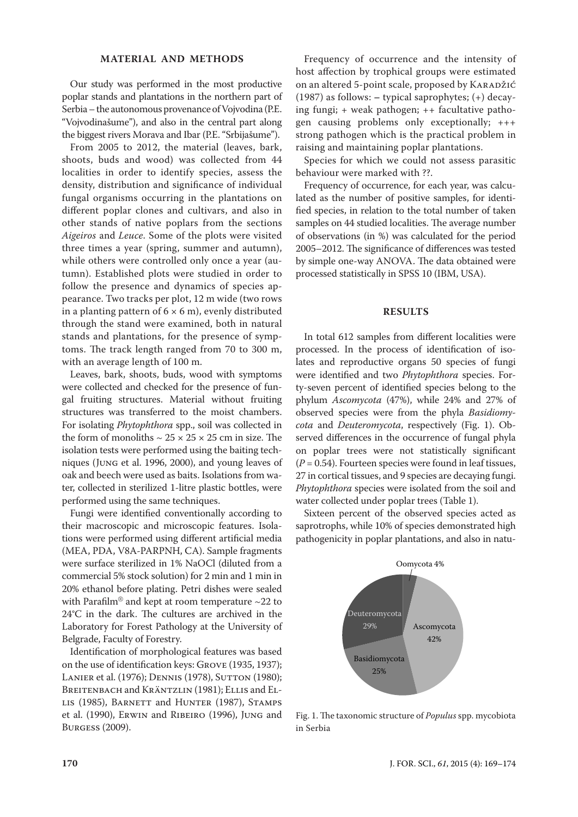### **MATERIAL AND METHODS**

Our study was performed in the most productive poplar stands and plantations in the northern part of Serbia – the autonomous provenance of Vojvodina (P.E. "Vojvodinašume"), and also in the central part along the biggest rivers Morava and Ibar (P.E. "Srbijašume").

From 2005 to 2012, the material (leaves, bark, shoots, buds and wood) was collected from 44 localities in order to identify species, assess the density, distribution and significance of individual fungal organisms occurring in the plantations on different poplar clones and cultivars, and also in other stands of native poplars from the sections *Aigeiros* and *Leuce*. Some of the plots were visited three times a year (spring, summer and autumn), while others were controlled only once a year (autumn). Established plots were studied in order to follow the presence and dynamics of species appearance. Two tracks per plot, 12 m wide (two rows in a planting pattern of  $6 \times 6$  m), evenly distributed through the stand were examined, both in natural stands and plantations, for the presence of symptoms. The track length ranged from 70 to 300 m, with an average length of 100 m.

Leaves, bark, shoots, buds, wood with symptoms were collected and checked for the presence of fungal fruiting structures. Material without fruiting structures was transferred to the moist chambers. For isolating *Phytophthora* spp., soil was collected in the form of monoliths  $\sim$  25  $\times$  25  $\times$  25 cm in size. The isolation tests were performed using the baiting techniques (Jung et al. 1996, 2000), and young leaves of oak and beech were used as baits. Isolations from water, collected in sterilized 1-litre plastic bottles, were performed using the same techniques.

Fungi were identified conventionally according to their macroscopic and microscopic features. Isolations were performed using different artificial media (MEA, PDA, V8A-PARPNH, CA). Sample fragments were surface sterilized in 1% NaOCl (diluted from a commercial 5% stock solution) for 2 min and 1 min in 20% ethanol before plating. Petri dishes were sealed with Parafilm<sup>®</sup> and kept at room temperature  $\sim$ 22 to 24°C in the dark. The cultures are archived in the Laboratory for Forest Pathology at the University of Belgrade, Faculty of Forestry.

Identification of morphological features was based on the use of identification keys: Grove (1935, 1937); LANIER et al. (1976); DENNIS (1978), SUTTON (1980); BREITENBACH and KRÄNTZLIN (1981); ELLIS and ELlis (1985), Barnett and Hunter (1987), Stamps et al. (1990), Erwin and Ribeiro (1996), Jung and Burgess (2009).

Frequency of occurrence and the intensity of host affection by trophical groups were estimated on an altered 5-point scale, proposed by KARADŽIĆ (1987) as follows: **–** typical saprophytes; (+) decaying fungi; + weak pathogen; ++ facultative pathogen causing problems only exceptionally; +++ strong pathogen which is the practical problem in raising and maintaining poplar plantations.

Species for which we could not assess parasitic behaviour were marked with ??.

Frequency of occurrence, for each year, was calculated as the number of positive samples, for identified species, in relation to the total number of taken samples on 44 studied localities. The average number of observations (in %) was calculated for the period 2005–2012. The significance of differences was tested by simple one-way ANOVA. The data obtained were processed statistically in SPSS 10 (IBM, USA).

#### **RESULTS**

In total 612 samples from different localities were processed. In the process of identification of isolates and reproductive organs 50 species of fungi were identified and two *Phytophthora* species. Forty-seven percent of identified species belong to the phylum *Ascomycota* (47%), while 24% and 27% of observed species were from the phyla *Basidiomycota* and *Deuteromycota*, respectively (Fig. 1). Observed differences in the occurrence of fungal phyla on poplar trees were not statistically significant  $(P = 0.54)$ . Fourteen species were found in leaf tissues, 27 in cortical tissues, and 9 species are decaying fungi. *Phytophthora* species were isolated from the soil and water collected under poplar trees (Table 1).

Sixteen percent of the observed species acted as saprotrophs, while 10% of species demonstrated high pathogenicity in poplar plantations, and also in natu-



Fig. 1. The taxonomic structure of *Populus* spp. mycobiota in Serbia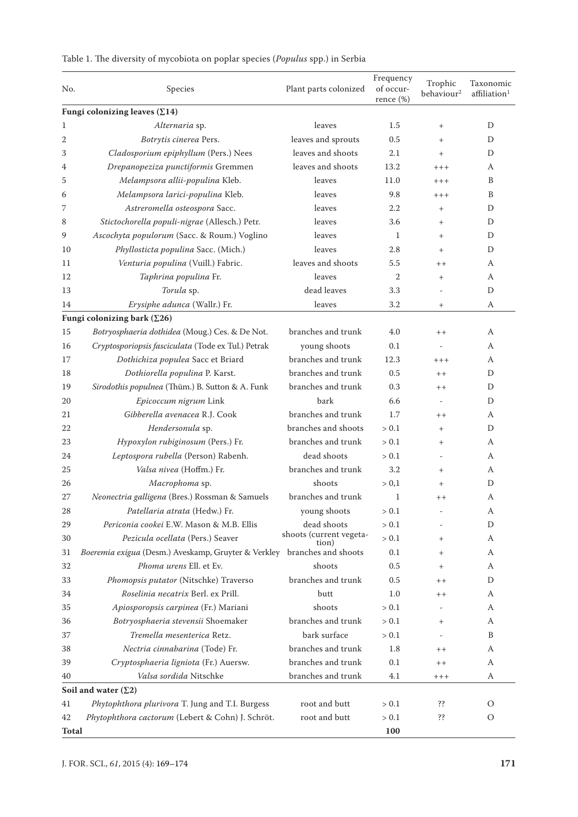| No.                                   | Species                                                                 | Plant parts colonized                  | Frequency<br>of occur-<br>rence $(\%)$ | Trophic<br>behaviour <sup>2</sup> | Taxonomic<br>affiliation <sup>1</sup> |  |  |  |
|---------------------------------------|-------------------------------------------------------------------------|----------------------------------------|----------------------------------------|-----------------------------------|---------------------------------------|--|--|--|
| Fungi colonizing leaves $(\Sigma 14)$ |                                                                         |                                        |                                        |                                   |                                       |  |  |  |
| 1                                     | Alternaria sp.                                                          | leaves                                 | 1.5                                    | $^{+}$                            | D                                     |  |  |  |
| 2                                     | Botrytis cinerea Pers.                                                  | leaves and sprouts                     | 0.5                                    | $^{+}$                            | D                                     |  |  |  |
| 3                                     | Cladosporium epiphyllum (Pers.) Nees                                    | leaves and shoots                      | 2.1                                    | $^{+}$                            | D                                     |  |  |  |
| 4                                     | Drepanopeziza punctiformis Gremmen                                      | leaves and shoots                      | 13.2                                   | $++++$                            | A                                     |  |  |  |
| 5                                     | Melampsora allii-populina Kleb.                                         | leaves                                 | 11.0                                   | $++++$                            | B                                     |  |  |  |
| 6                                     | Melampsora larici-populina Kleb.                                        | leaves                                 | 9.8                                    | $++++$                            | B                                     |  |  |  |
| 7                                     | Astreromella osteospora Sacc.                                           | leaves                                 | 2.2                                    | $^{+}$                            | D                                     |  |  |  |
| 8                                     | Stictochorella populi-nigrae (Allesch.) Petr.                           | leaves                                 | 3.6                                    | $^{+}$                            | D                                     |  |  |  |
| 9                                     | Ascochyta populorum (Sacc. & Roum.) Voglino                             | leaves                                 | 1                                      | $^{+}$                            | D                                     |  |  |  |
| 10                                    | Phyllosticta populina Sacc. (Mich.)                                     | leaves                                 | 2.8                                    | $^{+}$                            | D                                     |  |  |  |
| 11                                    | Venturia populina (Vuill.) Fabric.                                      | leaves and shoots                      | 5.5                                    | $++$                              | A                                     |  |  |  |
| 12                                    | Taphrina populina Fr.                                                   | leaves                                 | $\mathbf{2}$                           | $^{+}$                            | A                                     |  |  |  |
| 13                                    | Torula sp.                                                              | dead leaves                            | 3.3                                    |                                   | D                                     |  |  |  |
| 14                                    | Erysiphe adunca (Wallr.) Fr.                                            | leaves                                 | 3.2                                    | $^{+}$                            | А                                     |  |  |  |
| Fungi colonizing bark $(\Sigma 26)$   |                                                                         |                                        |                                        |                                   |                                       |  |  |  |
| 15                                    | Botryosphaeria dothidea (Moug.) Ces. & De Not.                          | branches and trunk                     | 4.0                                    | $+ +$                             | A                                     |  |  |  |
| 16                                    | Cryptosporiopsis fasciculata (Tode ex Tul.) Petrak                      | young shoots                           | 0.1                                    | $\overline{a}$                    | А                                     |  |  |  |
| 17                                    | Dothichiza populea Sacc et Briard                                       | branches and trunk                     | 12.3                                   | $++++$                            | A                                     |  |  |  |
| 18                                    | Dothiorella populina P. Karst.                                          | branches and trunk                     | 0.5                                    | $++$                              | D                                     |  |  |  |
| 19                                    | Sirodothis populnea (Thüm.) B. Sutton & A. Funk                         | branches and trunk                     | 0.3                                    | $+ +$                             | D                                     |  |  |  |
| 20                                    | Epicoccum nigrum Link                                                   | bark                                   | 6.6                                    | $\overline{\phantom{a}}$          | D                                     |  |  |  |
| 21                                    | Gibberella avenacea R.J. Cook                                           | branches and trunk                     | 1.7                                    | $^+$                              | A                                     |  |  |  |
| 22                                    | Hendersonula sp.                                                        | branches and shoots                    | > 0.1                                  | $^{+}$                            | D                                     |  |  |  |
| 23                                    | Hypoxylon rubiginosum (Pers.) Fr.                                       | branches and trunk                     | > 0.1                                  | $^{+}$                            | A                                     |  |  |  |
| 24                                    | Leptospora rubella (Person) Rabenh.                                     | dead shoots                            | > 0.1                                  | $\overline{a}$                    | А                                     |  |  |  |
|                                       |                                                                         | branches and trunk                     | 3.2                                    |                                   |                                       |  |  |  |
| 25                                    | Valsa nivea (Hoffm.) Fr.                                                | shoots                                 |                                        | $^{+}$                            | A                                     |  |  |  |
| 26                                    | Macrophoma sp.                                                          |                                        | > 0,1                                  | $\! + \!\!\!\!$                   | D                                     |  |  |  |
| 27                                    | Neonectria galligena (Bres.) Rossman & Samuels                          | branches and trunk                     | $\mathbf{1}$                           | $++$                              | А                                     |  |  |  |
| 28                                    | Patellaria atrata (Hedw.) Fr.                                           | young shoots                           | $> 0.1\,$                              |                                   | A                                     |  |  |  |
| 29                                    | Periconia cookei E.W. Mason & M.B. Ellis                                | dead shoots<br>shoots (current vegeta- | > 0.1                                  |                                   | D                                     |  |  |  |
| 30                                    | Pezicula ocellata (Pers.) Seaver                                        | tion)                                  | > 0.1                                  | $+$                               | A                                     |  |  |  |
| 31                                    | Boeremia exigua (Desm.) Aveskamp, Gruyter & Verkley branches and shoots |                                        | 0.1                                    | $^{+}$                            | А                                     |  |  |  |
| 32                                    | Phoma urens Ell. et Ev.                                                 | shoots                                 | 0.5                                    | $^{+}$                            | A                                     |  |  |  |
| 33                                    | Phomopsis putator (Nitschke) Traverso                                   | branches and trunk                     | 0.5                                    | $^{++}$                           | D                                     |  |  |  |
| 34                                    | Roselinia necatrix Berl. ex Prill.                                      | butt                                   | 1.0                                    | $++$                              | А                                     |  |  |  |
| 35                                    | Apiosporopsis carpinea (Fr.) Mariani                                    | shoots                                 | > 0.1                                  |                                   | А                                     |  |  |  |
| 36                                    | Botryosphaeria stevensii Shoemaker                                      | branches and trunk                     | > 0.1                                  | $+$                               | А                                     |  |  |  |
| 37                                    | Tremella mesenterica Retz.                                              | bark surface                           | > 0.1                                  |                                   | B                                     |  |  |  |
| 38                                    | Nectria cinnabarina (Tode) Fr.                                          | branches and trunk                     | 1.8                                    | $++$                              | А                                     |  |  |  |
| 39                                    | Cryptosphaeria ligniota (Fr.) Auersw.                                   | branches and trunk                     | 0.1                                    | $++$                              | А                                     |  |  |  |
| 40                                    | Valsa sordida Nitschke                                                  | branches and trunk                     | 4.1                                    | $++++$                            | A                                     |  |  |  |
| Soil and water $(\Sigma 2)$           |                                                                         |                                        |                                        |                                   |                                       |  |  |  |
| 41                                    | Phytophthora plurivora T. Jung and T.I. Burgess                         | root and butt                          | > 0.1                                  | ??                                | O                                     |  |  |  |
| 42                                    | Phytophthora cactorum (Lebert & Cohn) J. Schröt.                        | root and butt                          | > 0.1                                  | ??                                | О                                     |  |  |  |
| <b>Total</b>                          |                                                                         |                                        | 100                                    |                                   |                                       |  |  |  |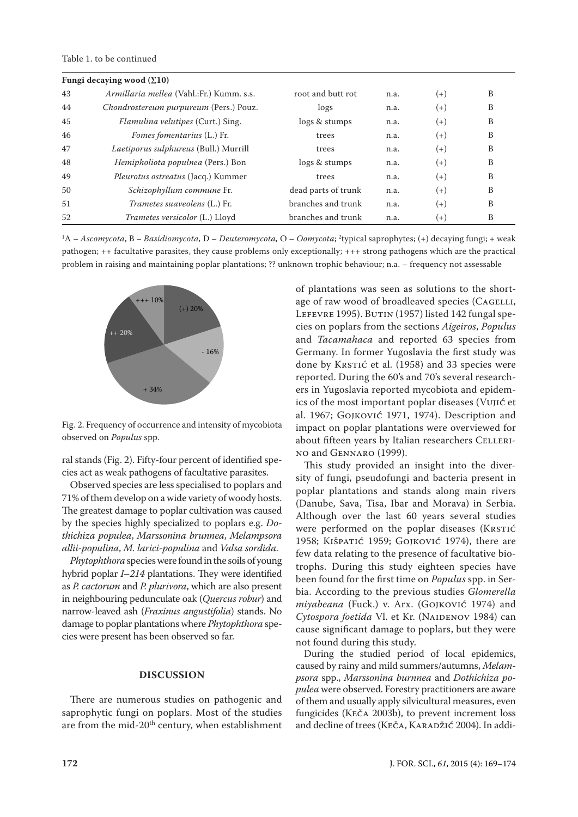#### Table 1. to be continued

|    | Fungi decaying wood $(\Sigma10)$          |                     |      |          |   |
|----|-------------------------------------------|---------------------|------|----------|---|
| 43 | Armillaria mellea (Vahl.:Fr.) Kumm. s.s.  | root and butt rot   | n.a. | $(+)$    | B |
| 44 | Chondrostereum purpureum (Pers.) Pouz.    | logs                | n.a. | $(+)$    | B |
| 45 | <i>Flamulina velutipes</i> (Curt.) Sing.  | logs & stumps       | n.a. | $(+)$    | B |
| 46 | <i>Fomes fomentarius</i> (L.) Fr.         | trees               | n.a. | $^{(+)}$ | В |
| 47 | Laetiporus sulphureus (Bull.) Murrill     | trees               | n.a. | $(+)$    | B |
| 48 | <i>Hemipholiota populnea</i> (Pers.) Bon  | logs & stumps       | n.a. | $^{(+)}$ | В |
| 49 | <i>Pleurotus ostreatus</i> (Jacq.) Kummer | trees               | n.a. | $(+)$    | B |
| 50 | Schizophyllum commune Fr.                 | dead parts of trunk | n.a. | $(+)$    | B |
| 51 | <i>Trametes suaveolens</i> (L.) Fr.       | branches and trunk  | n.a. | $(+)$    | В |
| 52 | <i>Trametes versicolor</i> (L.) Lloyd     | branches and trunk  | n.a. | $(+)$    | B |

1A – *Ascomycota*, B – *Basidiomycota,* D – *Deuteromycota,* O – *Oomycota*; 2typical saprophytes; (+) decaying fungi; + weak pathogen; ++ facultative parasites, they cause problems only exceptionally; +++ strong pathogens which are the practical problem in raising and maintaining poplar plantations; ?? unknown trophic behaviour; n.a. – frequency not assessable



Fig. 2. Frequency of occurrence and intensity of mycobiota observed on *Populus* spp.

ral stands (Fig. 2). Fifty-four percent of identified species act as weak pathogens of facultative parasites.

Observed species are less specialised to poplars and 71% of them develop on a wide variety of woody hosts. The greatest damage to poplar cultivation was caused by the species highly specialized to poplars e.g. *Dothichiza populea*, *Marssonina brunnea*, *Melampsora allii-populina*, *M. larici-populina* and *Valsa sordida.*

*Phytophthora* species were found in the soils of young hybrid poplar *I*–*214* plantations. They were identified as *P. cactorum* and *P. plurivora*, which are also present in neighbouring pedunculate oak (*Quercus robur*) and narrow-leaved ash (*Fraxinus angustifolia*) stands. No damage to poplar plantations where *Phytophthora* species were present has been observed so far.

#### **DISCUSSION**

There are numerous studies on pathogenic and saprophytic fungi on poplars. Most of the studies are from the mid-20<sup>th</sup> century, when establishment of plantations was seen as solutions to the shortage of raw wood of broadleaved species (CAGELLI, LEFEVRE 1995). BUTIN (1957) listed 142 fungal species on poplars from the sections *Aigeiros*, *Populus*  and *Tacamahaca* and reported 63 species from Germany. In former Yugoslavia the first study was done by KRSTIĆ et al. (1958) and 33 species were reported. During the 60's and 70's several researchers in Yugoslavia reported mycobiota and epidemics of the most important poplar diseases (Vujić et al. 1967; Gojković 1971, 1974). Description and impact on poplar plantations were overviewed for about fifteen years by Italian researchers CELLERIno and Gennaro (1999).

This study provided an insight into the diversity of fungi, pseudofungi and bacteria present in poplar plantations and stands along main rivers (Danube, Sava, Tisa, Ibar and Morava) in Serbia. Although over the last 60 years several studies were performed on the poplar diseases (KRSTIĆ 1958; Kišpatić 1959; Gojković 1974), there are few data relating to the presence of facultative biotrophs. During this study eighteen species have been found for the first time on *Populus* spp. in Serbia. According to the previous studies *Glomerella miyabeana* (Fuck.) v. Arx. (Gojković 1974) and Cytospora foetida Vl. et Kr. (NAIDENOV 1984) can cause significant damage to poplars, but they were not found during this study.

During the studied period of local epidemics, caused by rainy and mild summers/autumns, *Melampsora* spp., *Marssonina burnnea* and *Dothichiza populea* were observed. Forestry practitioners are aware of them and usually apply silvicultural measures, even fungicides (Keča 2003b), to prevent increment loss and decline of trees (KEČA, KARADŽIĆ 2004). In addi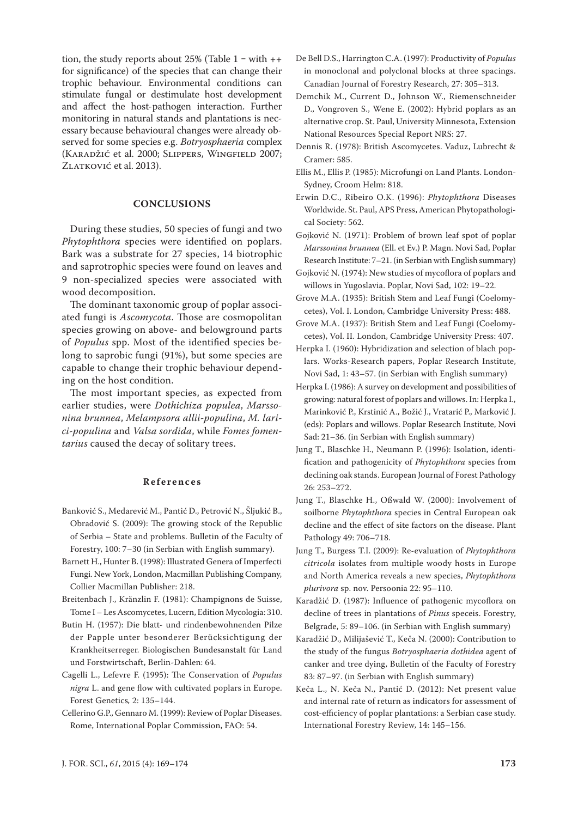tion, the study reports about 25% (Table  $1 - with ++$ for significance) of the species that can change their trophic behaviour. Environmental conditions can stimulate fungal or destimulate host development and affect the host-pathogen interaction. Further monitoring in natural stands and plantations is necessary because behavioural changes were already observed for some species e.g. *Botryosphaeria* complex (Karadžić et al. 2000; Slippers, Wingfield 2007; ZLATKOVIĆ et al. 2013).

## **CONCLUSIONS**

During these studies, 50 species of fungi and two *Phytophthora* species were identified on poplars. Bark was a substrate for 27 species, 14 biotrophic and saprotrophic species were found on leaves and 9 non-specialized species were associated with wood decomposition.

The dominant taxonomic group of poplar associated fungi is *Ascomycota*. Those are cosmopolitan species growing on above- and belowground parts of *Populus* spp. Most of the identified species belong to saprobic fungi (91%), but some species are capable to change their trophic behaviour depending on the host condition.

The most important species, as expected from earlier studies, were *Dothichiza populea*, *Marssonina brunnea*, *Melampsora allii-populina*, *M. larici-populina* and *Valsa sordida*, while *Fomes fomentarius* caused the decay of solitary trees.

#### **References**

- Banković S., Medarević M., Pantić D., Petrović N., Šljukić B., Obradović S. (2009): The growing stock of the Republic of Serbia – State and problems. Bulletin of the Faculty of Forestry, 100: 7–30 (in Serbian with English summary).
- Barnett H., Hunter B. (1998): Illustrated Genera of Imperfecti Fungi. New York, London, Macmillan Publishing Company, Collier Macmillan Publisher: 218.
- Breitenbach J., Kränzlin F. (1981): Champignons de Suisse, Tome I – Les Ascomycetes, Lucern, Edition Mycologia: 310.
- Butin H. (1957): Die blatt- und rindenbewohnenden Pilze der Papple unter besonderer Berücksichtigung der Krankheitserreger. Biologischen Bundesanstalt für Land und Forstwirtschaft, Berlin-Dahlen: 64.
- Cagelli L., Lefevre F. (1995): The Conservation of *Populus nigra* L. and gene flow with cultivated poplars in Europe. Forest Genetics*,* 2: 135–144.
- Cellerino G.P., Gennaro M. (1999): Review of Poplar Diseases. Rome, International Poplar Commission, FAO: 54.
- De Bell D.S., Harrington C.A. (1997): Productivity of *Populus* in monoclonal and polyclonal blocks at three spacings. Canadian Journal of Forestry Research, 27: 305–313.
- Demchik M., Current D., Johnson W., Riemenschneider D., Vongroven S., Wene E. (2002): Hybrid poplars as an alternative crop. St. Paul, University Minnesota, Extension National Resources Special Report NRS: 27.
- Dennis R. (1978): British Ascomycetes. Vaduz, Lubrecht & Cramer: 585.
- Ellis M., Ellis P. (1985): Microfungi on Land Plants. London-Sydney, Croom Helm: 818.
- Erwin D.C., Ribeiro O.K. (1996): *Phytophthora* Diseases Worldwide. St. Paul, APS Press, American Phytopathological Society: 562.
- Gojković N. (1971): Problem of brown leaf spot of poplar *Marssonina brunnea* (Ell. et Ev.) P. Magn. Novi Sad, Poplar Research Institute: 7–21. (in Serbian with English summary)
- Gojković N. (1974): New studies of mycoflora of poplars and willows in Yugoslavia. Poplar, Novi Sad, 102: 19–22.
- Grove M.A. (1935): British Stem and Leaf Fungi (Coelomycetes), Vol. I. London, Cambridge University Press: 488.
- Grove M.A. (1937): British Stem and Leaf Fungi (Coelomycetes), Vol. II. London, Cambridge University Press: 407.
- Herpka I. (1960): Hybridization and selection of blach poplars. Works-Research papers, Poplar Research Institute, Novi Sad, 1: 43–57. (in Serbian with English summary)
- Herpka I. (1986): A survey on development and possibilities of growing: natural forest of poplars and willows. In: Herpka I., Marinković P., Krstinić A., Božić J., Vratarić P., Marković J. (eds): Poplars and willows. Poplar Research Institute, Novi Sad: 21–36. (in Serbian with English summary)
- Jung T., Blaschke H., Neumann P. (1996): Isolation, identification and pathogenicity of *Phytophthora* species from declining oak stands. European Journal of Forest Pathology 26: 253–272.
- Jung T., Blaschke H., Oßwald W. (2000): Involvement of soilborne *Phytophthora* species in Central European oak decline and the effect of site factors on the disease. Plant Pathology 49: 706–718.
- Jung T., Burgess T.I. (2009): Re-evaluation of *Phytophthora citricola* isolates from multiple woody hosts in Europe and North America reveals a new species, *Phytophthora plurivora* sp. nov. Persoonia 22: 95–110.
- Karadžić D. (1987): Influence of pathogenic mycoflora on decline of trees in plantations of *Pinus* speceis. Forestry, Belgrade, 5: 89–106. (in Serbian with English summary)
- Karadžić D., Milijašević T., Keča N. (2000): Contribution to the study of the fungus *Botryosphaeria dothidea* agent of canker and tree dying, Bulletin of the Faculty of Forestry 83: 87–97. (in Serbian with English summary)
- Keča L., N. Keča N., Pantić D. (2012): Net present value and internal rate of return as indicators for assessment of cost-efficiency of poplar plantations: a Serbian case study. International Forestry Review, 14: 145–156.